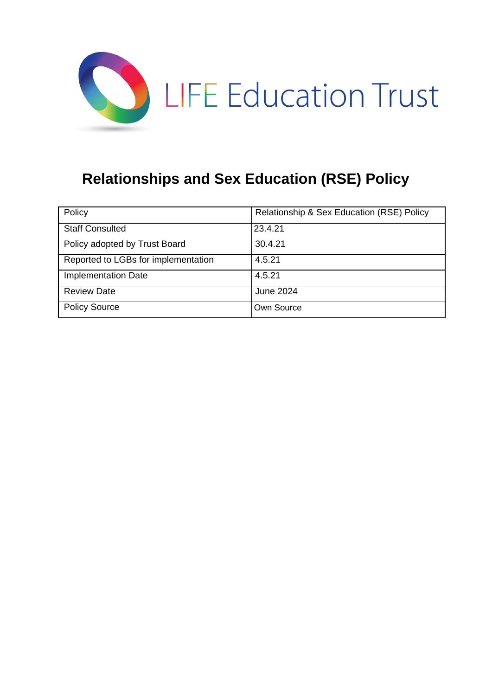

# **Relationships and Sex Education (RSE) Policy**

| Policy                              | Relationship & Sex Education (RSE) Policy |
|-------------------------------------|-------------------------------------------|
| <b>Staff Consulted</b>              | 23.4.21                                   |
| Policy adopted by Trust Board       | 30.4.21                                   |
| Reported to LGBs for implementation | 4.5.21                                    |
| <b>Implementation Date</b>          | 4.5.21                                    |
| <b>Review Date</b>                  | June 2024                                 |
| <b>Policy Source</b>                | Own Source                                |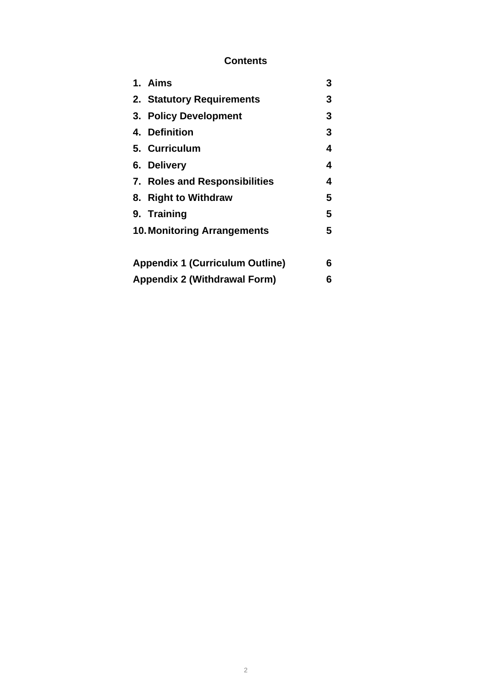# **Contents**

| 1. Aims                                | 3 |
|----------------------------------------|---|
| 2. Statutory Requirements              | 3 |
| 3. Policy Development                  | 3 |
| 4. Definition                          | 3 |
| 5. Curriculum                          | 4 |
| 6. Delivery                            | 4 |
| 7. Roles and Responsibilities          | 4 |
| 8. Right to Withdraw                   | 5 |
| 9. Training                            | 5 |
| <b>10. Monitoring Arrangements</b>     | 5 |
|                                        |   |
| <b>Appendix 1 (Curriculum Outline)</b> | 6 |
| <b>Appendix 2 (Withdrawal Form)</b>    | 6 |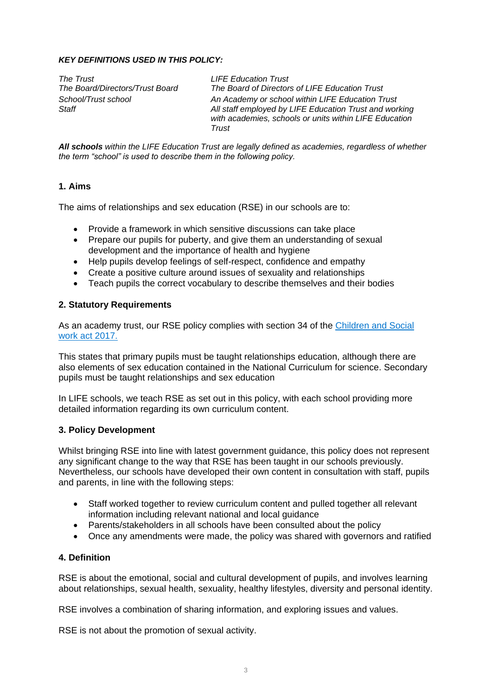#### *KEY DEFINITIONS USED IN THIS POLICY:*

*The Trust LIFE Education Trust* 

*The Board/Directors/Trust Board The Board of Directors of LIFE Education Trust School/Trust school An Academy or school within LIFE Education Trust Staff All staff employed by LIFE Education Trust and working with academies, schools or units within LIFE Education Trust*

*All schools within the LIFE Education Trust are legally defined as academies, regardless of whether the term "school" is used to describe them in the following policy.*

#### **1. Aims**

The aims of relationships and sex education (RSE) in our schools are to:

- Provide a framework in which sensitive discussions can take place
- Prepare our pupils for puberty, and give them an understanding of sexual development and the importance of health and hygiene
- Help pupils develop feelings of self-respect, confidence and empathy
- Create a positive culture around issues of sexuality and relationships
- Teach pupils the correct vocabulary to describe themselves and their bodies

#### **2. Statutory Requirements**

As an academy trust, our RSE policy complies with section 34 of the Children and Social [work act 2017.](http://www.legislation.gov.uk/ukpga/2017/16/section/34/enacted)

This states that primary pupils must be taught relationships education, although there are also elements of sex education contained in the National Curriculum for science. Secondary pupils must be taught relationships and sex education

In LIFE schools, we teach RSE as set out in this policy, with each school providing more detailed information regarding its own curriculum content.

#### **3. Policy Development**

Whilst bringing RSE into line with latest government guidance, this policy does not represent any significant change to the way that RSE has been taught in our schools previously. Nevertheless, our schools have developed their own content in consultation with staff, pupils and parents, in line with the following steps:

- Staff worked together to review curriculum content and pulled together all relevant information including relevant national and local guidance
- Parents/stakeholders in all schools have been consulted about the policy
- Once any amendments were made, the policy was shared with governors and ratified

#### **4. Definition**

RSE is about the emotional, social and cultural development of pupils, and involves learning about relationships, sexual health, sexuality, healthy lifestyles, diversity and personal identity.

RSE involves a combination of sharing information, and exploring issues and values.

RSE is not about the promotion of sexual activity.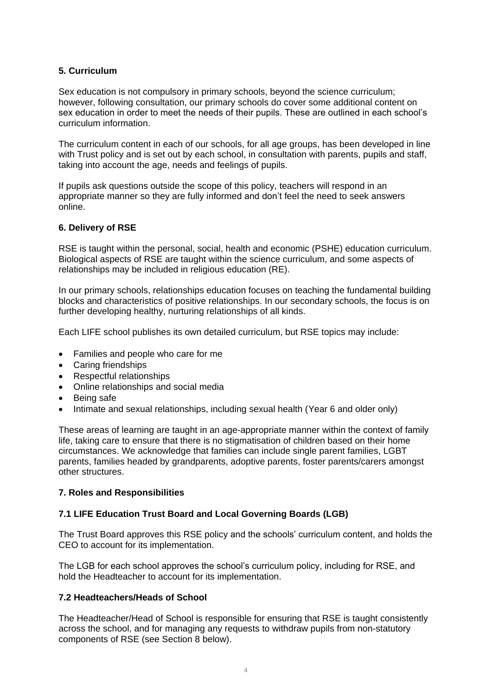#### **5. Curriculum**

Sex education is not compulsory in primary schools, beyond the science curriculum; however, following consultation, our primary schools do cover some additional content on sex education in order to meet the needs of their pupils. These are outlined in each school's curriculum information.

The curriculum content in each of our schools, for all age groups, has been developed in line with Trust policy and is set out by each school, in consultation with parents, pupils and staff, taking into account the age, needs and feelings of pupils.

If pupils ask questions outside the scope of this policy, teachers will respond in an appropriate manner so they are fully informed and don't feel the need to seek answers online.

#### **6. Delivery of RSE**

RSE is taught within the personal, social, health and economic (PSHE) education curriculum. Biological aspects of RSE are taught within the science curriculum, and some aspects of relationships may be included in religious education (RE).

In our primary schools, relationships education focuses on teaching the fundamental building blocks and characteristics of positive relationships. In our secondary schools, the focus is on further developing healthy, nurturing relationships of all kinds.

Each LIFE school publishes its own detailed curriculum, but RSE topics may include:

- Families and people who care for me
- Caring friendships
- Respectful relationships
- Online relationships and social media
- Being safe
- Intimate and sexual relationships, including sexual health (Year 6 and older only)

These areas of learning are taught in an age-appropriate manner within the context of family life, taking care to ensure that there is no stigmatisation of children based on their home circumstances. We acknowledge that families can include single parent families, LGBT parents, families headed by grandparents, adoptive parents, foster parents/carers amongst other structures.

#### **7. Roles and Responsibilities**

#### **7.1 LIFE Education Trust Board and Local Governing Boards (LGB)**

The Trust Board approves this RSE policy and the schools' curriculum content, and holds the CEO to account for its implementation.

The LGB for each school approves the school's curriculum policy, including for RSE, and hold the Headteacher to account for its implementation.

#### **7.2 Headteachers/Heads of School**

The Headteacher/Head of School is responsible for ensuring that RSE is taught consistently across the school, and for managing any requests to withdraw pupils from non-statutory components of RSE (see Section 8 below).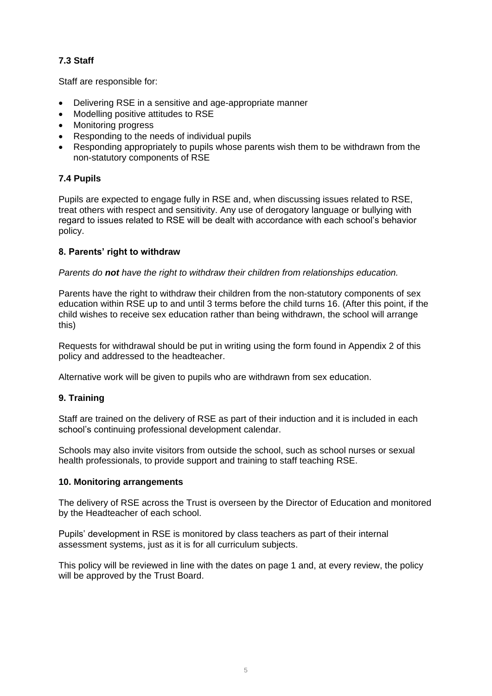## **7.3 Staff**

Staff are responsible for:

- Delivering RSE in a sensitive and age-appropriate manner
- Modelling positive attitudes to RSE
- Monitoring progress
- Responding to the needs of individual pupils
- Responding appropriately to pupils whose parents wish them to be withdrawn from the non-statutory components of RSE

#### **7.4 Pupils**

Pupils are expected to engage fully in RSE and, when discussing issues related to RSE, treat others with respect and sensitivity. Any use of derogatory language or bullying with regard to issues related to RSE will be dealt with accordance with each school's behavior policy.

#### **8. Parents' right to withdraw**

#### *Parents do not have the right to withdraw their children from relationships education.*

Parents have the right to withdraw their children from the non-statutory components of sex education within RSE up to and until 3 terms before the child turns 16. (After this point, if the child wishes to receive sex education rather than being withdrawn, the school will arrange this)

Requests for withdrawal should be put in writing using the form found in Appendix 2 of this policy and addressed to the headteacher.

Alternative work will be given to pupils who are withdrawn from sex education.

#### **9. Training**

Staff are trained on the delivery of RSE as part of their induction and it is included in each school's continuing professional development calendar.

Schools may also invite visitors from outside the school, such as school nurses or sexual health professionals, to provide support and training to staff teaching RSE.

#### **10. Monitoring arrangements**

The delivery of RSE across the Trust is overseen by the Director of Education and monitored by the Headteacher of each school.

Pupils' development in RSE is monitored by class teachers as part of their internal assessment systems, just as it is for all curriculum subjects.

This policy will be reviewed in line with the dates on page 1 and, at every review, the policy will be approved by the Trust Board.